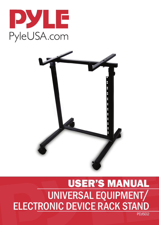



# USER'S MANUAL UNIVERSAL EQUIPMENT/ ELECTRONIC DEVICE RACK STAND

PDJSD2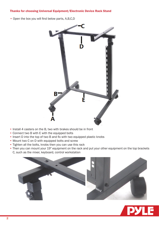## Thanks for choosing Universal Equipment/Electronic Device Rack Stand

• Open the box you will find below parts, A,B,C,D



- Install 4 casters on the B, two with brakes should be in front
- Connect two B with E with the equipped bolts
- Insert D into the top of two B and fix with two equipped plastic knobs
- Mount two C on D with equipped bolts and screw
- Tighten all the bolts, knobs then you can use this rack
- Then you can mount your 19" equipment on the rack and put your other equipment on the top brackets

C, such as the mixer, keyboard, control workstation



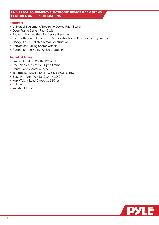## UNIVERSAL EQUIPMENT/ELECTRONIC DEVICE RACK STAND FEATURES AND SPECIFICATIONS

### Features:

- Universal Equipment/Electronic Device Rack Stand
- Open Frame Server Rack Style
- Top Arm Bracket Shelf for Device Placement
- Used with Sound Equipment, Mixers, Amplifiers, Processors, Keyboards
- Heavy Duty & Reliable Metal Construction
- Convenient Rolling Caster Wheels
- Perfect for the Home, Office or Studio

### Technical Specs:

- Frame Standard Width: 19'' -inch
- Rack Server Style: 12U Open Frame
- Construction Material: steel
- Top Bracket Device Shelf (W x D): 16.9'' x 15.7''
- Base Platform (W x D): 21.4'' x 19.9''
- Max Weight Load Capacity: 110 lbs.
- Sold as: 1
- Weight: 11 lbs.